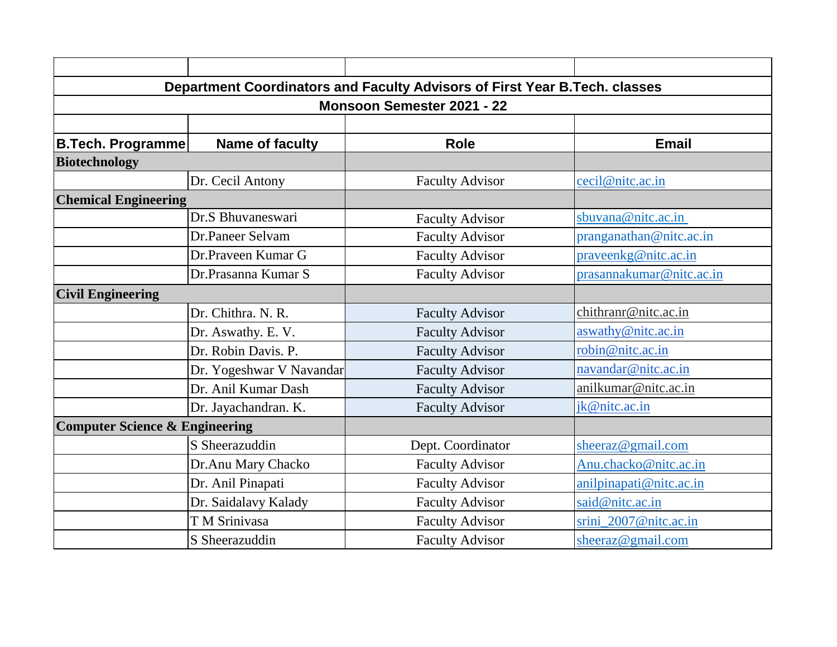| Department Coordinators and Faculty Advisors of First Year B.Tech. classes |                          |                        |                          |  |
|----------------------------------------------------------------------------|--------------------------|------------------------|--------------------------|--|
| <b>Monsoon Semester 2021 - 22</b>                                          |                          |                        |                          |  |
|                                                                            |                          |                        |                          |  |
| <b>B.Tech. Programme</b>                                                   | <b>Name of faculty</b>   | <b>Role</b>            | <b>Email</b>             |  |
| <b>Biotechnology</b>                                                       |                          |                        |                          |  |
|                                                                            | Dr. Cecil Antony         | <b>Faculty Advisor</b> | cecil@nitc.ac.in         |  |
| <b>Chemical Engineering</b>                                                |                          |                        |                          |  |
|                                                                            | Dr.S Bhuvaneswari        | <b>Faculty Advisor</b> | sbuvana@nitc.ac.in       |  |
|                                                                            | Dr.Paneer Selvam         | <b>Faculty Advisor</b> | pranganathan@nitc.ac.in  |  |
|                                                                            | Dr.Praveen Kumar G       | <b>Faculty Advisor</b> | prayeenkg@nitc.ac.in     |  |
|                                                                            | Dr.Prasanna Kumar S      | <b>Faculty Advisor</b> | prasannakumar@nitc.ac.in |  |
| <b>Civil Engineering</b>                                                   |                          |                        |                          |  |
|                                                                            | Dr. Chithra. N. R.       | <b>Faculty Advisor</b> | chithranr@nitc.ac.in     |  |
|                                                                            | Dr. Aswathy. E. V.       | <b>Faculty Advisor</b> | aswathy@nitc.ac.in       |  |
|                                                                            | Dr. Robin Davis. P.      | <b>Faculty Advisor</b> | robin@nitc.ac.in         |  |
|                                                                            | Dr. Yogeshwar V Navandar | <b>Faculty Advisor</b> | navandar@nitc.ac.in      |  |
|                                                                            | Dr. Anil Kumar Dash      | <b>Faculty Advisor</b> | anilkumar@nitc.ac.in     |  |
|                                                                            | Dr. Jayachandran. K.     | <b>Faculty Advisor</b> | jk@nitc.ac.in            |  |
| <b>Computer Science &amp; Engineering</b>                                  |                          |                        |                          |  |
|                                                                            | S Sheerazuddin           | Dept. Coordinator      | sheeraz@gmail.com        |  |
|                                                                            | Dr.Anu Mary Chacko       | <b>Faculty Advisor</b> | Anu.chacko@nitc.ac.in    |  |
|                                                                            | Dr. Anil Pinapati        | <b>Faculty Advisor</b> | anilpinapati@nitc.ac.in  |  |
|                                                                            | Dr. Saidalavy Kalady     | <b>Faculty Advisor</b> | said@nitc.ac.in          |  |
|                                                                            | T M Srinivasa            | <b>Faculty Advisor</b> | srini_2007@nitc.ac.in    |  |
|                                                                            | S Sheerazuddin           | <b>Faculty Advisor</b> | sheeraz@gmail.com        |  |